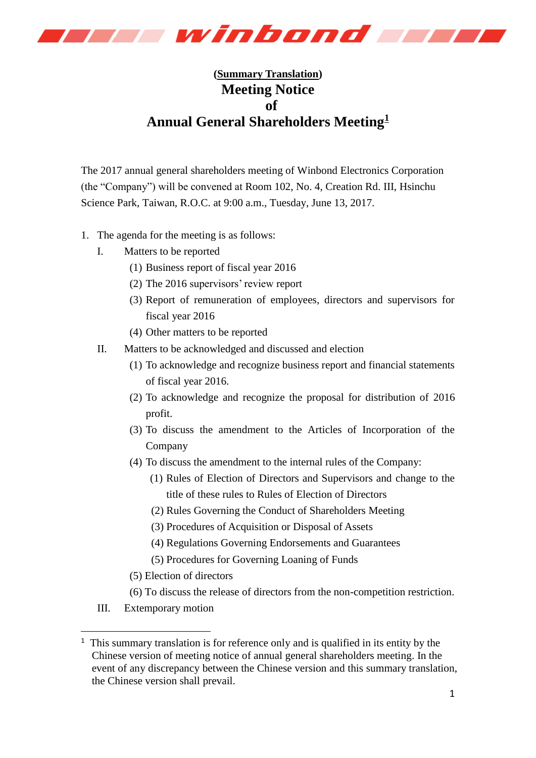

## **(Summary Translation) Meeting Notice of Annual General Shareholders Meeting<sup>1</sup>**

The 2017 annual general shareholders meeting of Winbond Electronics Corporation (the "Company") will be convened at Room 102, No. 4, Creation Rd. III, Hsinchu Science Park, Taiwan, R.O.C. at 9:00 a.m., Tuesday, June 13, 2017.

- 1. The agenda for the meeting is as follows:
	- I. Matters to be reported
		- (1) Business report of fiscal year 2016
		- (2) The 2016 supervisors' review report
		- (3) Report of remuneration of employees, directors and supervisors for fiscal year 2016
		- (4) Other matters to be reported
	- II. Matters to be acknowledged and discussed and election
		- (1) To acknowledge and recognize business report and financial statements of fiscal year 2016.
		- (2) To acknowledge and recognize the proposal for distribution of 2016 profit.
		- (3) To discuss the amendment to the Articles of Incorporation of the Company
		- (4) To discuss the amendment to the internal rules of the Company:
			- (1) Rules of Election of Directors and Supervisors and change to the title of these rules to Rules of Election of Directors
			- (2) Rules Governing the Conduct of Shareholders Meeting
			- (3) Procedures of Acquisition or Disposal of Assets
			- (4) Regulations Governing Endorsements and Guarantees
			- (5) Procedures for Governing Loaning of Funds
		- (5) Election of directors
		- (6) To discuss the release of directors from the non-competition restriction.
	- III. Extemporary motion

-

<sup>&</sup>lt;sup>1</sup> This summary translation is for reference only and is qualified in its entity by the Chinese version of meeting notice of annual general shareholders meeting. In the event of any discrepancy between the Chinese version and this summary translation, the Chinese version shall prevail.